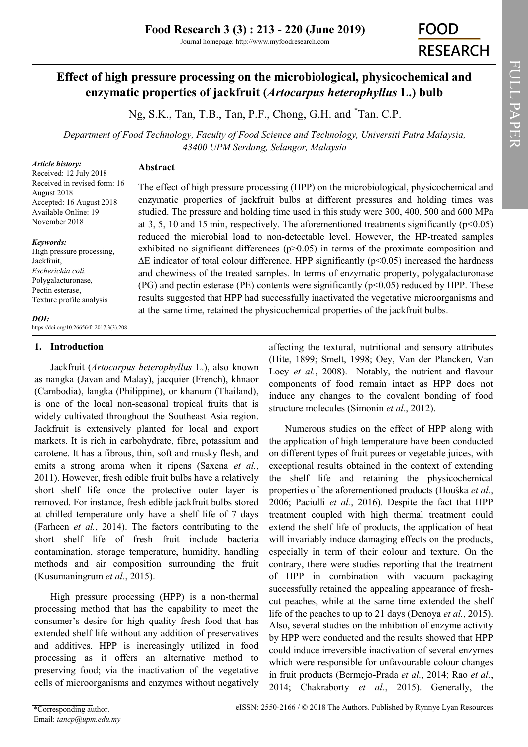Journal homepage: http://www.myfoodresearch.com

# **FOOD RESEARCH**

## **Effect of high pressure processing on the microbiological, physicochemical and enzymatic properties of jackfruit (***Artocarpus heterophyllus* **L.) bulb**

Ng, S.K., Tan, T.B., Tan, P.F., Chong, G.H. and \*Tan. C.P.

*Department of Food Technology, Faculty of Food Science and Technology, Universiti Putra Malaysia, 43400 UPM Serdang, Selangor, Malaysia*

#### *Article history:*

## **Abstract**

Received: 12 July 2018 Received in revised form: 16 August 2018 Accepted: 16 August 2018 Available Online: 19 November 2018

#### *Keywords:*

High pressure processing, Jackfruit, *Escherichia coli,*  Polygalacturonase, Pectin esterase, Texture profile analysis

The effect of high pressure processing (HPP) on the microbiological, physicochemical and enzymatic properties of jackfruit bulbs at different pressures and holding times was studied. The pressure and holding time used in this study were 300, 400, 500 and 600 MPa at 3, 5, 10 and 15 min, respectively. The aforementioned treatments significantly ( $p<0.05$ ) reduced the microbial load to non-detectable level. However, the HP-treated samples exhibited no significant differences ( $p > 0.05$ ) in terms of the proximate composition and  $\Delta E$  indicator of total colour difference. HPP significantly (p<0.05) increased the hardness and chewiness of the treated samples. In terms of enzymatic property, polygalacturonase (PG) and pectin esterase (PE) contents were significantly ( $p<0.05$ ) reduced by HPP. These results suggested that HPP had successfully inactivated the vegetative microorganisms and at the same time, retained the physicochemical properties of the jackfruit bulbs.

#### *DOI:*

https://doi.org/10.26656/fr.2017.3(3).208

### **1. Introduction**

Jackfruit (*Artocarpus heterophyllus* L.), also known as nangka (Javan and Malay), jacquier (French), khnaor (Cambodia), langka (Philippine), or khanum (Thailand), is one of the local non-seasonal tropical fruits that is widely cultivated throughout the Southeast Asia region. Jackfruit is extensively planted for local and export markets. It is rich in carbohydrate, fibre, potassium and carotene. It has a fibrous, thin, soft and musky flesh, and emits a strong aroma when it ripens ([Saxena](file:///C:/Users/Vivian/Downloads/FR-2018-208.docx#_ENREF_39#_ENREF_39) *et al.*, [2011\).](file:///C:/Users/Vivian/Downloads/FR-2018-208.docx#_ENREF_39#_ENREF_39) However, fresh edible fruit bulbs have a relatively short shelf life once the protective outer layer is removed. For instance, fresh edible jackfruit bulbs stored at chilled temperature only have a shelf life of 7 days [\(Farheen](file:///C:/Users/Vivian/Downloads/FR-2018-208.docx#_ENREF_14#_ENREF_14) *et al.*, 2014). The factors contributing to the short shelf life of fresh fruit include bacteria contamination, storage temperature, humidity, handling methods and air composition surrounding the fruit [\(Kusumaningrum](file:///C:/Users/Vivian/Downloads/FR-2018-208.docx#_ENREF_29#_ENREF_29) *et al.*, 2015).

High pressure processing (HPP) is a non-thermal processing method that has the capability to meet the consumer's desire for high quality fresh food that has extended shelf life without any addition of preservatives and additives. HPP is increasingly utilized in food processing as it offers an alternative method to preserving food; via the inactivation of the vegetative cells of microorganisms and enzymes without negatively

affecting the textural, nutritional and sensory attributes ([Hite, 1899;](file:///C:/Users/Vivian/Downloads/FR-2018-208.docx#_ENREF_20#_ENREF_20) [Smelt, 1998;](file:///C:/Users/Vivian/Downloads/FR-2018-208.docx#_ENREF_43#_ENREF_43) [Oey, Van der Plancken](file:///C:/Users/Vivian/Downloads/FR-2018-208.docx#_ENREF_36#_ENREF_36)*,* Van Loey *et al.*[, 2008\)](file:///C:/Users/Vivian/Downloads/FR-2018-208.docx#_ENREF_36#_ENREF_36). Notably, the nutrient and flavour components of food remain intact as HPP does not induce any changes to the covalent bonding of food structure molecules ([Simonin](file:///C:/Users/Vivian/Downloads/FR-2018-208.docx#_ENREF_42#_ENREF_42) *et al.*, 2012).

Numerous studies on the effect of HPP along with the application of high temperature have been conducted on different types of fruit purees or vegetable juices, with exceptional results obtained in the context of extending the shelf life and retaining the physicochemical properties of the aforementioned products ([Houška](file:///C:/Users/Vivian/Downloads/FR-2018-208.docx#_ENREF_22#_ENREF_22) *et al.*, [2006;](file:///C:/Users/Vivian/Downloads/FR-2018-208.docx#_ENREF_22#_ENREF_22) [Paciulli](file:///C:/Users/Vivian/Downloads/FR-2018-208.docx#_ENREF_37#_ENREF_37) *et al.*, 2016). Despite the fact that HPP treatment coupled with high thermal treatment could extend the shelf life of products, the application of heat will invariably induce damaging effects on the products, especially in term of their colour and texture. On the contrary, there were studies reporting that the treatment of HPP in combination with vacuum packaging successfully retained the appealing appearance of freshcut peaches, while at the same time extended the shelf life of the peaches to up to 21 days [\(Denoya](file:///C:/Users/Vivian/Downloads/FR-2018-208.docx#_ENREF_12#_ENREF_12) *et al.*, 2015). Also, several studies on the inhibition of enzyme activity by HPP were conducted and the results showed that HPP could induce irreversible inactivation of several enzymes which were responsible for unfavourable colour changes in fruit products ([Bermejo](file:///C:/Users/Vivian/Downloads/FR-2018-208.docx#_ENREF_6#_ENREF_6)-Prada *et al.*, 2014; Rao *[et al.](file:///C:/Users/Vivian/Downloads/FR-2018-208.docx#_ENREF_38#_ENREF_38)*, [2014;](file:///C:/Users/Vivian/Downloads/FR-2018-208.docx#_ENREF_38#_ENREF_38) [Chakraborty](file:///C:/Users/Vivian/Downloads/FR-2018-208.docx#_ENREF_8#_ENREF_8) *et al.*, 2015). Generally, the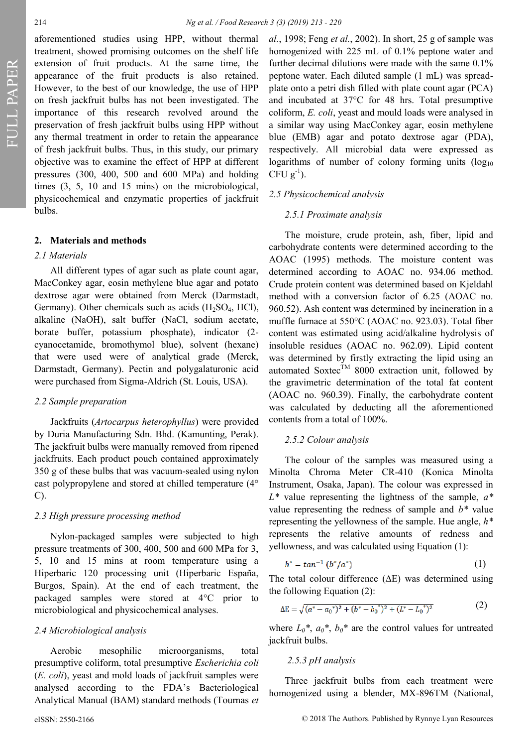aforementioned studies using HPP, without thermal treatment, showed promising outcomes on the shelf life extension of fruit products. At the same time, the appearance of the fruit products is also retained. However, to the best of our knowledge, the use of HPP on fresh jackfruit bulbs has not been investigated. The importance of this research revolved around the preservation of fresh jackfruit bulbs using HPP without any thermal treatment in order to retain the appearance of fresh jackfruit bulbs. Thus, in this study, our primary objective was to examine the effect of HPP at different pressures (300, 400, 500 and 600 MPa) and holding times (3, 5, 10 and 15 mins) on the microbiological, physicochemical and enzymatic properties of jackfruit bulbs.

#### **2. Materials and methods**

#### *2.1 Materials*

All different types of agar such as plate count agar, MacConkey agar, eosin methylene blue agar and potato dextrose agar were obtained from Merck (Darmstadt, Germany). Other chemicals such as acids  $(H<sub>2</sub>SO<sub>4</sub>, HCl)$ , alkaline (NaOH), salt buffer (NaCl, sodium acetate, borate buffer, potassium phosphate), indicator (2 cyanocetamide, bromothymol blue), solvent (hexane) that were used were of analytical grade (Merck, Darmstadt, Germany). Pectin and polygalaturonic acid were purchased from Sigma-Aldrich (St. Louis, USA).

#### *2.2 Sample preparation*

Jackfruits (*Artocarpus heterophyllus*) were provided by Duria Manufacturing Sdn. Bhd. (Kamunting, Perak). The jackfruit bulbs were manually removed from ripened jackfruits. Each product pouch contained approximately 350 g of these bulbs that was vacuum-sealed using nylon cast polypropylene and stored at chilled temperature (4° C).

#### *2.3 High pressure processing method*

Nylon-packaged samples were subjected to high pressure treatments of 300, 400, 500 and 600 MPa for 3, 5, 10 and 15 mins at room temperature using a Hiperbaric 120 processing unit (Hiperbaric España, Burgos, Spain). At the end of each treatment, the packaged samples were stored at 4°C prior to microbiological and physicochemical analyses.

#### *2.4 Microbiological analysis*

Aerobic mesophilic microorganisms, total presumptive coliform, total presumptive *Escherichia coli*  (*E. coli*), yeast and mold loads of jackfruit samples were analysed according to the FDA's Bacteriological Analytical Manual (BAM) standard methods ([Tournas](file:///C:/Users/Vivian/Downloads/FR-2018-208.docx#_ENREF_46#_ENREF_46) *et*  *al.*[, 1998;](file:///C:/Users/Vivian/Downloads/FR-2018-208.docx#_ENREF_46#_ENREF_46) Feng *et al.*[, 2002\)](file:///C:/Users/Vivian/Downloads/FR-2018-208.docx#_ENREF_15#_ENREF_15). In short, 25 g of sample was homogenized with 225 mL of 0.1% peptone water and further decimal dilutions were made with the same 0.1% peptone water. Each diluted sample (1 mL) was spreadplate onto a petri dish filled with plate count agar (PCA) and incubated at 37°C for 48 hrs. Total presumptive coliform, *E. coli*, yeast and mould loads were analysed in a similar way using MacConkey agar, eosin methylene blue (EMB) agar and potato dextrose agar (PDA), respectively. All microbial data were expressed as logarithms of number of colony forming units  $(\log_{10}$ CFU  $g^{-1}$ ).

#### *2.5 Physicochemical analysis*

#### *2.5.1 Proximate analysis*

The moisture, crude protein, ash, fiber, lipid and carbohydrate contents were determined according to the [AOAC \(1995\) m](file:///C:/Users/Vivian/Downloads/FR-2018-208.docx#_ENREF_3#_ENREF_3)ethods. The moisture content was determined according to AOAC no. 934.06 method. Crude protein content was determined based on Kjeldahl method with a conversion factor of 6.25 (AOAC no. 960.52). Ash content was determined by incineration in a muffle furnace at 550°C (AOAC no. 923.03). Total fiber content was estimated using acid/alkaline hydrolysis of insoluble residues (AOAC no. 962.09). Lipid content was determined by firstly extracting the lipid using an automated Soxtec<sup>TM</sup> 8000 extraction unit, followed by the gravimetric determination of the total fat content (AOAC no. 960.39). Finally, the carbohydrate content was calculated by deducting all the aforementioned contents from a total of 100%.

#### *2.5.2 Colour analysis*

The colour of the samples was measured using a Minolta Chroma Meter CR-410 (Konica Minolta Instrument, Osaka, Japan). The colour was expressed in *L\** value representing the lightness of the sample, *a\** value representing the redness of sample and *b\** value representing the yellowness of the sample. Hue angle, *h\**  represents the relative amounts of redness and yellowness, and was calculated using Equation (1):

$$
h^* = \tan^{-1}(b^*/a^*)
$$
 (1)

The total colour difference (∆E) was determined using the following Equation (2):

$$
\Delta E = \sqrt{(a^* - a_0^*)^2 + (b^* - b_0^*)^2 + (L^* - L_0^*)^2}
$$
 (2)

where  $L_0^*$ ,  $a_0^*$ ,  $b_0^*$  are the control values for untreated jackfruit bulbs.

#### *2.5.3 pH analysis*

Three jackfruit bulbs from each treatment were homogenized using a blender, MX-896TM (National,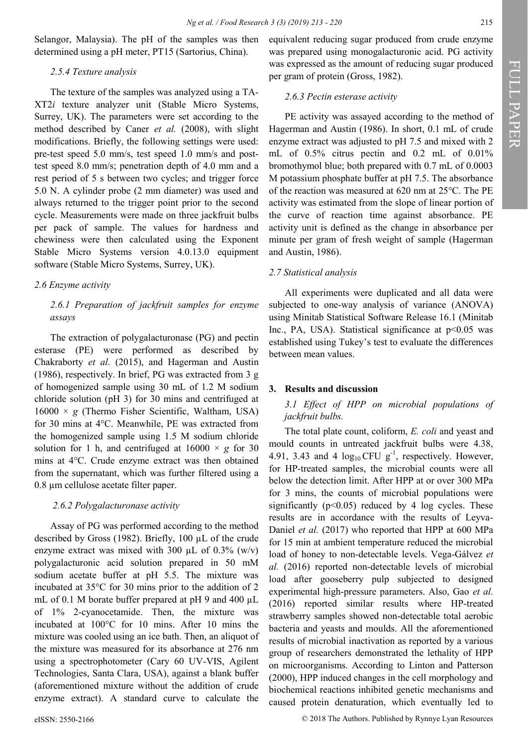Selangor, Malaysia). The pH of the samples was then determined using a pH meter, PT15 (Sartorius, China).

#### *2.5.4 Texture analysis*

The texture of the samples was analyzed using a TA-XT2*i* texture analyzer unit (Stable Micro Systems, Surrey, UK). The parameters were set according to the method described by Caner *et al.* [\(2008\),](file:///C:/Users/Vivian/Downloads/FR-2018-208.docx#_ENREF_7#_ENREF_7) with slight modifications. Briefly, the following settings were used: pre-test speed 5.0 mm/s, test speed 1.0 mm/s and posttest speed 8.0 mm/s; penetration depth of 4.0 mm and a rest period of 5 s between two cycles; and trigger force 5.0 N. A cylinder probe (2 mm diameter) was used and always returned to the trigger point prior to the second cycle. Measurements were made on three jackfruit bulbs per pack of sample. The values for hardness and chewiness were then calculated using the Exponent Stable Micro Systems version 4.0.13.0 equipment software (Stable Micro Systems, Surrey, UK).

#### *2.6 Enzyme activity*

## *2.6.1 Preparation of jackfruit samples for enzyme assays*

The extraction of polygalacturonase (PG) and pectin esterase (PE) were performed as described by [Chakraborty](file:///C:/Users/Vivian/Downloads/FR-2018-208.docx#_ENREF_8#_ENREF_8) *et al.* (2015), and [Hagerman and Austin](file:///C:/Users/Vivian/Downloads/FR-2018-208.docx#_ENREF_19#_ENREF_19)  [\(1986\),](file:///C:/Users/Vivian/Downloads/FR-2018-208.docx#_ENREF_19#_ENREF_19) respectively. In brief, PG was extracted from 3 g of homogenized sample using 30 mL of 1.2 M sodium chloride solution (pH 3) for 30 mins and centrifuged at 16000 × *g* (Thermo Fisher Scientific, Waltham, USA) for 30 mins at 4°C. Meanwhile, PE was extracted from the homogenized sample using 1.5 M sodium chloride solution for 1 h, and centrifuged at  $16000 \times g$  for 30 mins at 4°C. Crude enzyme extract was then obtained from the supernatant, which was further filtered using a 0.8 µm cellulose acetate filter paper.

#### *2.6.2 Polygalacturonase activity*

Assay of PG was performed according to the method described by [Gross \(1982\).](file:///C:/Users/Vivian/Downloads/FR-2018-208.docx#_ENREF_18#_ENREF_18) Briefly, 100 µL of the crude enzyme extract was mixed with 300  $\mu$ L of 0.3% (w/v) polygalacturonic acid solution prepared in 50 mM sodium acetate buffer at pH 5.5. The mixture was incubated at 35°C for 30 mins prior to the addition of 2 mL of 0.1 M borate buffer prepared at pH 9 and 400  $\mu$ L of 1% 2-cyanocetamide. Then, the mixture was incubated at 100°C for 10 mins. After 10 mins the mixture was cooled using an ice bath. Then, an aliquot of the mixture was measured for its absorbance at 276 nm using a spectrophotometer (Cary 60 UV-VIS, Agilent Technologies, Santa Clara, USA), against a blank buffer (aforementioned mixture without the addition of crude enzyme extract). A standard curve to calculate the

equivalent reducing sugar produced from crude enzyme was prepared using monogalacturonic acid. PG activity was expressed as the amount of reducing sugar produced per gram of protein [\(Gross, 1982\).](file:///C:/Users/Vivian/Downloads/FR-2018-208.docx#_ENREF_18#_ENREF_18)

#### *2.6.3 Pectin esterase activity*

PE activity was assayed according to the method of [Hagerman and Austin \(1986\).](file:///C:/Users/Vivian/Downloads/FR-2018-208.docx#_ENREF_19#_ENREF_19) In short, 0.1 mL of crude enzyme extract was adjusted to pH 7.5 and mixed with 2 mL of 0.5% citrus pectin and 0.2 mL of 0.01% bromothymol blue; both prepared with 0.7 mL of 0.0003 M potassium phosphate buffer at pH 7.5. The absorbance of the reaction was measured at 620 nm at 25°C. The PE activity was estimated from the slope of linear portion of the curve of reaction time against absorbance. PE activity unit is defined as the change in absorbance per minute per gram of fresh weight of sample ([Hagerman](file:///C:/Users/Vivian/Downloads/FR-2018-208.docx#_ENREF_19#_ENREF_19)  [and Austin, 1986\).](file:///C:/Users/Vivian/Downloads/FR-2018-208.docx#_ENREF_19#_ENREF_19)

#### *2.7 Statistical analysis*

All experiments were duplicated and all data were subjected to one-way analysis of variance (ANOVA) using Minitab Statistical Software Release 16.1 (Minitab Inc., PA, USA). Statistical significance at  $p<0.05$  was established using Tukey's test to evaluate the differences between mean values.

#### **3. Results and discussion**

## *3.1 Effect of HPP on microbial populations of jackfruit bulbs.*

The total plate count, coliform, *E. coli* and yeast and mould counts in untreated jackfruit bulbs were 4.38, 4.91, 3.43 and 4  $log_{10}$ CFU  $g^{-1}$ , respectively. However, for HP-treated samples, the microbial counts were all below the detection limit. After HPP at or over 300 MPa for 3 mins, the counts of microbial populations were significantly ( $p$ <0.05) reduced by 4 log cycles. These results are in accordance with the results of [Leyva](file:///C:/Users/Vivian/Downloads/FR-2018-208.docx#_ENREF_30#_ENREF_30)-Daniel *et al.* [\(2017\)](file:///C:/Users/Vivian/Downloads/FR-2018-208.docx#_ENREF_30#_ENREF_30) who reported that HPP at 600 MPa for 15 min at ambient temperature reduced the microbial load of honey to non-detectable levels. Vega-[Gálvez](file:///C:/Users/Vivian/Downloads/FR-2018-208.docx#_ENREF_49#_ENREF_49) *et al.* [\(2016\)](file:///C:/Users/Vivian/Downloads/FR-2018-208.docx#_ENREF_49#_ENREF_49) reported non-detectable levels of microbial load after gooseberry pulp subjected to designed experimental high-pressure parameters. Also, Gao *[et al.](file:///C:/Users/Vivian/Downloads/FR-2018-208.docx#_ENREF_16#_ENREF_16)* [\(2016\)](file:///C:/Users/Vivian/Downloads/FR-2018-208.docx#_ENREF_16#_ENREF_16) reported similar results where HP-treated strawberry samples showed non-detectable total aerobic bacteria and yeasts and moulds. All the aforementioned results of microbial inactivation as reported by a various group of researchers demonstrated the lethality of HPP on microorganisms. According to [Linton and Patterson](file:///C:/Users/Vivian/Downloads/FR-2018-208.docx#_ENREF_32#_ENREF_32)  [\(2000\),](file:///C:/Users/Vivian/Downloads/FR-2018-208.docx#_ENREF_32#_ENREF_32) HPP induced changes in the cell morphology and biochemical reactions inhibited genetic mechanisms and caused protein denaturation, which eventually led to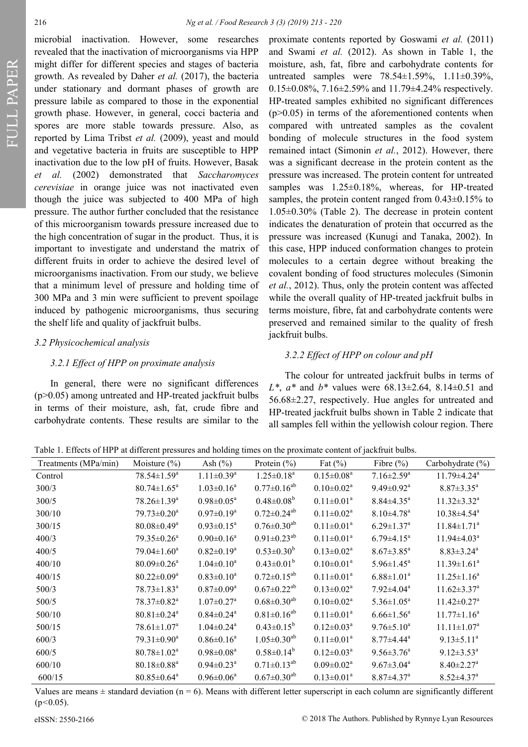FULL PAPER

microbial inactivation. However, some researches revealed that the inactivation of microorganisms via HPP might differ for different species and stages of bacteria growth. As revealed by Daher *et al.* [\(2017\),](file:///C:/Users/Vivian/Downloads/FR-2018-208.docx#_ENREF_9#_ENREF_9) the bacteria under stationary and dormant phases of growth are pressure labile as compared to those in the exponential growth phase. However, in general, cocci bacteria and spores are more stable towards pressure. Also, as reported by [Lima Tribst](file:///C:/Users/Vivian/Downloads/FR-2018-208.docx#_ENREF_31#_ENREF_31) *et al.* (2009), yeast and mould and vegetative bacteria in fruits are susceptible to HPP inactivation due to the low pH of fruits. However, [Basak](file:///C:/Users/Vivian/Downloads/FR-2018-208.docx#_ENREF_5#_ENREF_5) *et al.* [\(2002\) d](file:///C:/Users/Vivian/Downloads/FR-2018-208.docx#_ENREF_5#_ENREF_5)emonstrated that *Saccharomyces cerevisiae* in orange juice was not inactivated even though the juice was subjected to 400 MPa of high pressure. The author further concluded that the resistance of this microorganism towards pressure increased due to the high concentration of sugar in the product. Thus, it is important to investigate and understand the matrix of different fruits in order to achieve the desired level of microorganisms inactivation. From our study, we believe that a minimum level of pressure and holding time of 300 MPa and 3 min were sufficient to prevent spoilage induced by pathogenic microorganisms, thus securing the shelf life and quality of jackfruit bulbs.

#### *3.2 Physicochemical analysis*

#### *3.2.1 Effect of HPP on proximate analysis*

In general, there were no significant differences (p>0.05) among untreated and HP-treated jackfruit bulbs in terms of their moisture, ash, fat, crude fibre and carbohydrate contents. These results are similar to the

proximate contents reported by [Goswami](file:///C:/Users/Vivian/Downloads/FR-2018-208.docx#_ENREF_17#_ENREF_17) *et al.* (2011) and Swami *et al.* [\(2012\).](file:///C:/Users/Vivian/Downloads/FR-2018-208.docx#_ENREF_44#_ENREF_44) As shown in Table 1, the moisture, ash, fat, fibre and carbohydrate contents for untreated samples were  $78.54 \pm 1.59\%$ ,  $1.11 \pm 0.39\%$ , 0.15±0.08%, 7.16±2.59% and 11.79±4.24% respectively. HP-treated samples exhibited no significant differences  $(p>0.05)$  in terms of the aforementioned contents when compared with untreated samples as the covalent bonding of molecule structures in the food system remained intact [\(Simonin](file:///C:/Users/Vivian/Downloads/FR-2018-208.docx#_ENREF_42#_ENREF_42) *et al.*, 2012). However, there was a significant decrease in the protein content as the pressure was increased. The protein content for untreated samples was  $1.25\pm0.18%$ , whereas, for HP-treated samples, the protein content ranged from  $0.43\pm0.15\%$  to 1.05±0.30% (Table 2). The decrease in protein content indicates the denaturation of protein that occurred as the pressure was increased [\(Kunugi and Tanaka, 2002\).](file:///C:/Users/Vivian/Downloads/FR-2018-208.docx#_ENREF_28#_ENREF_28) In this case, HPP induced conformation changes to protein molecules to a certain degree without breaking the covalent bonding of food structures molecules ([Simonin](file:///C:/Users/Vivian/Downloads/FR-2018-208.docx#_ENREF_42#_ENREF_42) *et al.*[, 2012\).](file:///C:/Users/Vivian/Downloads/FR-2018-208.docx#_ENREF_42#_ENREF_42) Thus, only the protein content was affected while the overall quality of HP-treated jackfruit bulbs in terms moisture, fibre, fat and carbohydrate contents were preserved and remained similar to the quality of fresh jackfruit bulbs.

#### *3.2.2 Effect of HPP on colour and pH*

The colour for untreated jackfruit bulbs in terms of *L\**, *a\** and *b\** values were 68.13±2.64, 8.14±0.51 and 56.68±2.27, respectively. Hue angles for untreated and HP-treated jackfruit bulbs shown in Table 2 indicate that all samples fell within the yellowish colour region. There

Table 1. Effects of HPP at different pressures and holding times on the proximate content of jackfruit bulbs.

| Treatments (MPa/min) | Moisture $(\% )$              | Ash $(\% )$                  | Protein $(\% )$               | Fat $(\%)$        | Fibre $(\% )$                | Carbohydrate (%)              |
|----------------------|-------------------------------|------------------------------|-------------------------------|-------------------|------------------------------|-------------------------------|
| Control              | $78.54 \pm 1.59^a$            | $1.11 \pm 0.39$ <sup>a</sup> | $1.25 \pm 0.18^a$             | $0.15 \pm 0.08^a$ | $7.16 \pm 2.59^{\text{a}}$   | $11.79 \pm 4.24$ <sup>a</sup> |
| 300/3                | $80.74 \pm 1.65^{\text{a}}$   | $1.03 \pm 0.16^a$            | $0.77 \pm 0.16^{ab}$          | $0.10 \pm 0.02^a$ | $9.49 \pm 0.92^a$            | $8.87 \pm 3.35^{\text{a}}$    |
| 300/5                | $78.26 \pm 1.39^{\text{a}}$   | $0.98 \pm 0.05^a$            | $0.48 \pm 0.08^b$             | $0.11 \pm 0.01^a$ | $8.84 \pm 4.35$ <sup>a</sup> | $11.32 \pm 3.32^a$            |
| 300/10               | $79.73 \pm 0.20^a$            | $0.97 \pm 0.19^a$            | $0.72 \pm 0.24^{ab}$          | $0.11 \pm 0.02^a$ | $8.10 \pm 4.78$ <sup>a</sup> | $10.38 \pm 4.54$ <sup>a</sup> |
| 300/15               | $80.08 \pm 0.49^{\text{a}}$   | $0.93 \pm 0.15^{\text{a}}$   | $0.76 \pm 0.30^{ab}$          | $0.11 \pm 0.01^a$ | $6.29 \pm 1.37$ <sup>a</sup> | $11.84 \pm 1.71$ <sup>a</sup> |
| 400/3                | 79.35±0.26 <sup>a</sup>       | $0.90 \pm 0.16^a$            | $0.91 \pm 0.23^{ab}$          | $0.11 \pm 0.01^a$ | $6.79 \pm 4.15^a$            | $11.94 \pm 4.03^a$            |
| 400/5                | $79.04 \pm 1.60^a$            | $0.82 \pm 0.19^a$            | $0.53 \pm 0.30^b$             | $0.13 \pm 0.02^a$ | $8.67 \pm 3.85^{\text{a}}$   | $8.83 \pm 3.24^a$             |
| 400/10               | $80.09 \pm 0.26$ <sup>a</sup> | $1.04 \pm 0.10^a$            | $0.43 \pm 0.01^b$             | $0.10 \pm 0.01^a$ | $5.96 \pm 1.45^a$            | $11.39 \pm 1.61^a$            |
| 400/15               | $80.22 \pm 0.09^{\mathrm{a}}$ | $0.83 \pm 0.10^a$            | $0.72 \pm 0.15^{ab}$          | $0.11 \pm 0.01^a$ | $6.88 \pm 1.01^a$            | $11.25 \pm 1.16^a$            |
| 500/3                | $78.73 \pm 1.83$ <sup>a</sup> | $0.87 \pm 0.09^{\text{a}}$   | $0.67 \pm 0.22$ <sup>ab</sup> | $0.13 \pm 0.02^a$ | $7.92{\pm}4.04^a$            | $11.62 \pm 3.37$ <sup>a</sup> |
| 500/5                | $78.37 \pm 0.82^{\text{a}}$   | $1.07 \pm 0.27$ <sup>a</sup> | $0.68 \pm 0.30^{ab}$          | $0.10 \pm 0.02^a$ | $5.36 \pm 1.05^{\text{a}}$   | $11.42 \pm 0.27$ <sup>a</sup> |
| 500/10               | $80.81 \pm 0.24$ <sup>a</sup> | $0.84 \pm 0.24$ <sup>a</sup> | $0.81 \pm 0.16^{ab}$          | $0.11 \pm 0.01^a$ | $6.66 \pm 1.56^{\circ}$      | $11.77 \pm 1.16^a$            |
| 500/15               | $78.61 \pm 1.07^a$            | $1.04 \pm 0.24$ <sup>a</sup> | $0.43 \pm 0.15^b$             | $0.12 \pm 0.03^a$ | $9.76 \pm 5.10^a$            | $11.11 \pm 1.07$ <sup>a</sup> |
| 600/3                | $79.31 \pm 0.90^a$            | $0.86 \pm 0.16^a$            | $1.05 \pm 0.30^{ab}$          | $0.11 \pm 0.01^a$ | $8.77 \pm 4.44^a$            | $9.13 \pm 5.11^a$             |
| 600/5                | $80.78 \pm 1.02^a$            | $0.98 \pm 0.08^a$            | $0.58 \pm 0.14^b$             | $0.12 \pm 0.03^a$ | $9.56 \pm 3.76^{\circ}$      | $9.12 \pm 3.53^{\text{a}}$    |
| 600/10               | $80.18 \pm 0.88$ <sup>a</sup> | $0.94 \pm 0.23$ <sup>a</sup> | $0.71 \pm 0.13^{ab}$          | $0.09 \pm 0.02^a$ | $9.67 \pm 3.04^a$            | $8.40 \pm 2.27$ <sup>a</sup>  |
| 600/15               | $80.85 \pm 0.64^a$            | $0.96 \pm 0.06^a$            | $0.67 \pm 0.30^{ab}$          | $0.13 \pm 0.01^a$ | $8.87 \pm 4.37$ <sup>a</sup> | $8.52 \pm 4.37$ <sup>a</sup>  |

Values are means  $\pm$  standard deviation (n = 6). Means with different letter superscript in each column are significantly different (p*<*0.05).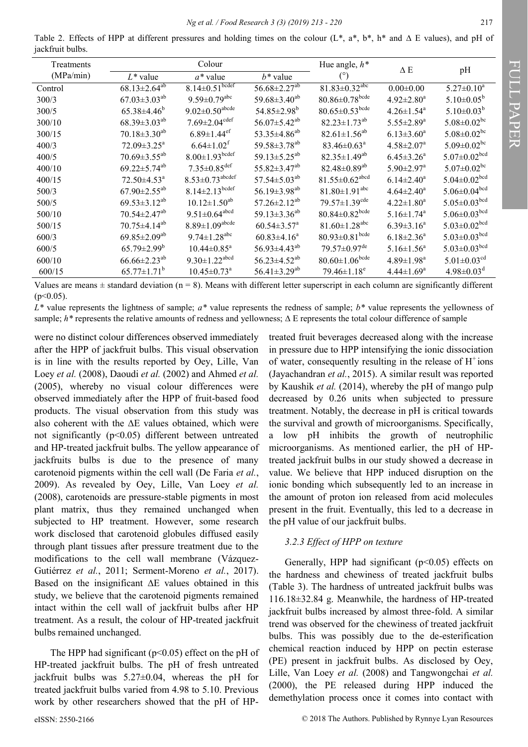Table 2. Effects of HPP at different pressures and holding times on the colour (L\*, a\*, b\*, h\* and ∆ E values), and pH of jackfruit bulbs.

| Treatments | Colour                         |                                   |                                | Hue angle, $h^*$                 | ΔΕ                           | pH                             |
|------------|--------------------------------|-----------------------------------|--------------------------------|----------------------------------|------------------------------|--------------------------------|
| (MPa/min)  | $L^*$ value                    | $a^*$ value                       | $h^*$ value                    | $(^\circ)$                       |                              |                                |
| Control    | $68.13 \pm 2.64^{ab}$          | $8.14 \pm 0.51$ <sub>bcdef</sub>  | $56.68 \pm 2.27$ <sup>ab</sup> | $81.83 \pm 0.32$ <sup>abc</sup>  | $0.00 \pm 0.00$              | $5.27 \pm 0.10^a$              |
| 300/3      | $67.03 \pm 3.03^{ab}$          | $9.59 \pm 0.79$ <sup>abc</sup>    | 59.68 $\pm$ 3.40 <sup>ab</sup> | $80.86 \pm 0.78$ <sup>bcde</sup> | $4.92 \pm 2.80^a$            | $5.10 \pm 0.05^{\rm b}$        |
| 300/5      | $65.38\pm4.46^b$               | $9.02 \pm 0.50^{\text{abcde}}$    | $54.85 \pm 2.98^{\rm b}$       | $80.65 \pm 0.53$ bcde            | $4.26 \pm 1.54$ <sup>a</sup> | $5.10\pm0.03^b$                |
| 300/10     | $68.39 \pm 3.03^{ab}$          | $7.69 \pm 2.04$ <sup>cdef</sup>   | $56.07 \pm 5.42^{ab}$          | $82.23 \pm 1.73^{ab}$            | $5.55 \pm 2.89^{\mathrm{a}}$ | $5.08 \pm 0.02$ <sup>bc</sup>  |
| 300/15     | $70.18 \pm 3.30$ <sup>ab</sup> | $6.89 \pm 1.44$ <sup>ef</sup>     | 53.35 $\pm$ 4.86 <sup>ab</sup> | $82.61 \pm 1.56^{ab}$            | $6.13 \pm 3.60^a$            | $5.08 \pm 0.02$ bc             |
| 400/3      | $72.09 \pm 3.25^{\mathrm{a}}$  | $6.64 \pm 1.02$ <sup>f</sup>      | 59.58 $\pm$ 3.78 <sup>ab</sup> | $83.46 \pm 0.63^{\text{a}}$      | $4.58 \pm 2.07^a$            | $5.09 \pm 0.02$ <sup>bc</sup>  |
| 400/5      | $70.69 \pm 3.55^{ab}$          | $8.00 \pm 1.93$ bcdef             | 59.13 $\pm$ 5.25 <sup>ab</sup> | $82.35 \pm 1.49^{ab}$            | $6.45 \pm 3.26^{\circ}$      | $5.07 \pm 0.02$ <sup>bcd</sup> |
| 400/10     | $69.22 \pm 5.74^{ab}$          | $7.35 \pm 0.85$ <sup>def</sup>    | $55.82 \pm 3.47^{ab}$          | $82.48 \pm 0.89$ <sup>ab</sup>   | $5.90 \pm 2.97$ <sup>a</sup> | $5.07 \pm 0.02$ <sup>bc</sup>  |
| 400/15     | $72.50 \pm 4.53$ <sup>a</sup>  | $8.53 \pm 0.73$ <sup>abcdef</sup> | $57.54 \pm 5.03^{ab}$          | $81.55 \pm 0.62$ <sup>abcd</sup> | $6.14 \pm 2.40^a$            | $5.04 \pm 0.02$ bcd            |
| 500/3      | $67.90 \pm 2.55^{ab}$          | $8.14 \pm 2.13$ <sup>bcdef</sup>  | 56.19 $\pm$ 3.98 <sup>ab</sup> | $81.80 \pm 1.91$ <sup>abc</sup>  | $4.64 \pm 2.40^a$            | $5.06 \pm 0.04$ bcd            |
| 500/5      | $69.53 \pm 3.12^{ab}$          | $10.12 \pm 1.50^{ab}$             | $57.26 \pm 2.12^{ab}$          | $79.57 \pm 1.39$ <sup>cde</sup>  | $4.22 \pm 1.80^a$            | $5.05 \pm 0.03$ bcd            |
| 500/10     | $70.54 \pm 2.47$ <sup>ab</sup> | $9.51 \pm 0.64$ <sup>abcd</sup>   | 59.13 $\pm$ 3.36 <sup>ab</sup> | $80.84 \pm 0.82$ <sup>bcde</sup> | $5.16 \pm 1.74$ <sup>a</sup> | $5.06 \pm 0.03$ <sup>bcd</sup> |
| 500/15     | $70.75 \pm 4.14^{ab}$          | $8.89 \pm 1.09^{\rm abcde}$       | $60.54 \pm 3.57$ <sup>a</sup>  | $81.60 \pm 1.28$ <sup>abc</sup>  | $6.39 \pm 3.16^a$            | 5.03 $\pm$ 0.02 <sup>bcd</sup> |
| 600/3      | $69.85 \pm 2.09^{ab}$          | $9.74 \pm 1.28$ <sup>abc</sup>    | $60.83{\pm}4.16^a$             | $80.93 \pm 0.81$ <sup>bcde</sup> | $6.18\pm2.36^a$              | 5.03 $\pm$ 0.03 <sup>bcd</sup> |
| 600/5      | $65.79 \pm 2.99^{\rm b}$       | $10.44 \pm 0.85$ <sup>a</sup>     | $56.93\pm4.43^{ab}$            | $79.57 \pm 0.97$ <sup>de</sup>   | $5.16 \pm 1.56^a$            | $5.03 \pm 0.03$ bcd            |
| 600/10     | $66.66 \pm 2.23^{ab}$          | $9.30 \pm 1.22$ <sup>abcd</sup>   | $56.23 \pm 4.52^{ab}$          | $80.60 \pm 1.06$ <sup>bcde</sup> | $4.89 \pm 1.98$ <sup>a</sup> | $5.01 \pm 0.03$ <sup>cd</sup>  |
| 600/15     | $65.77 \pm 1.71^{\circ}$       | $10.45 \pm 0.73$ <sup>a</sup>     | $56.41 \pm 3.29^{ab}$          | $79.46 \pm 1.18$ <sup>e</sup>    | $4.44 \pm 1.69^a$            | $4.98 \pm 0.03^{\text{d}}$     |

Values are means  $\pm$  standard deviation (n = 8). Means with different letter superscript in each column are significantly different  $(p<0.05)$ .

*L\** value represents the lightness of sample; *a\** value represents the redness of sample; *b\** value represents the yellowness of sample; *h\** represents the relative amounts of redness and yellowness;  $\Delta$  E represents the total colour difference of sample

were no distinct colour differences observed immediately after the HPP of jackfruit bulbs. This visual observation is in line with the results reported by [Oey, Lille, Van](file:///C:/Users/Vivian/Downloads/FR-2018-208.docx#_ENREF_35#_ENREF_35)  Loey *et al.* [\(2008\),](file:///C:/Users/Vivian/Downloads/FR-2018-208.docx#_ENREF_35#_ENREF_35) [Daoudi](file:///C:/Users/Vivian/Downloads/FR-2018-208.docx#_ENREF_10#_ENREF_10) *et al.* (2002) and [Ahmed](file:///C:/Users/Vivian/Downloads/FR-2018-208.docx#_ENREF_1#_ENREF_1) *et al.* [\(2005\),](file:///C:/Users/Vivian/Downloads/FR-2018-208.docx#_ENREF_1#_ENREF_1) whereby no visual colour differences were observed immediately after the HPP of fruit-based food products. The visual observation from this study was also coherent with the ∆E values obtained, which were not significantly  $(p<0.05)$  different between untreated and HP-treated jackfruit bulbs. The yellow appearance of jackfruits bulbs is due to the presence of many carotenoid pigments within the cell wall ([De Faria](file:///C:/Users/Vivian/Downloads/FR-2018-208.docx#_ENREF_11#_ENREF_11) *et al.*, [2009\).](file:///C:/Users/Vivian/Downloads/FR-2018-208.docx#_ENREF_11#_ENREF_11) As revealed by Oey, Lille, Van Loey *[et al.](file:///C:/Users/Vivian/Downloads/FR-2018-208.docx#_ENREF_34#_ENREF_34)* [\(2008\),](file:///C:/Users/Vivian/Downloads/FR-2018-208.docx#_ENREF_34#_ENREF_34) carotenoids are pressure-stable pigments in most plant matrix, thus they remained unchanged when subjected to HP treatment. However, some research work disclosed that carotenoid globules diffused easily through plant tissues after pressure treatment due to the modifications to the cell wall membrane ([Vázquez](file:///C:/Users/Vivian/Downloads/FR-2018-208.docx#_ENREF_48#_ENREF_48)-[Gutiérrez](file:///C:/Users/Vivian/Downloads/FR-2018-208.docx#_ENREF_48#_ENREF_48) *et al.*, 2011; [Serment](file:///C:/Users/Vivian/Downloads/FR-2018-208.docx#_ENREF_40#_ENREF_40)-Moreno *et al.*, 2017). Based on the insignificant ∆E values obtained in this study, we believe that the carotenoid pigments remained intact within the cell wall of jackfruit bulbs after HP treatment. As a result, the colour of HP-treated jackfruit bulbs remained unchanged.

The HPP had significant ( $p$ <0.05) effect on the pH of HP-treated jackfruit bulbs. The pH of fresh untreated jackfruit bulbs was 5.27±0.04, whereas the pH for treated jackfruit bulbs varied from 4.98 to 5.10. Previous work by other researchers showed that the pH of HP-

treated fruit beverages decreased along with the increase in pressure due to HPP intensifying the ionic dissociation of water, consequently resulting in the release of  $H^+$ ions ([Jayachandran](file:///C:/Users/Vivian/Downloads/FR-2018-208.docx#_ENREF_23#_ENREF_23) *et al.*, 2015). A similar result was reported by [Kaushik](file:///C:/Users/Vivian/Downloads/FR-2018-208.docx#_ENREF_25#_ENREF_25) *et al.* (2014), whereby the pH of mango pulp decreased by 0.26 units when subjected to pressure treatment. Notably, the decrease in pH is critical towards the survival and growth of microorganisms. Specifically, a low pH inhibits the growth of neutrophilic microorganisms. As mentioned earlier, the pH of HPtreated jackfruit bulbs in our study showed a decrease in value. We believe that HPP induced disruption on the ionic bonding which subsequently led to an increase in the amount of proton ion released from acid molecules present in the fruit. Eventually, this led to a decrease in the pH value of our jackfruit bulbs.

#### *3.2.3 Effect of HPP on texture*

Generally, HPP had significant  $(p<0.05)$  effects on the hardness and chewiness of treated jackfruit bulbs (Table 3). The hardness of untreated jackfruit bulbs was 116.18±32.84 g. Meanwhile, the hardness of HP-treated jackfruit bulbs increased by almost three-fold. A similar trend was observed for the chewiness of treated jackfruit bulbs. This was possibly due to the de-esterification chemical reaction induced by HPP on pectin esterase (PE) present in jackfruit bulbs. As disclosed by Oey, Lille, Van Loey *et al.* [\(2008\) a](file:///C:/Users/Vivian/Downloads/FR-2018-208.docx#_ENREF_35#_ENREF_35)nd [Tangwongchai](file:///C:/Users/Vivian/Downloads/FR-2018-208.docx#_ENREF_45#_ENREF_45) *et al.* [\(2000\),](file:///C:/Users/Vivian/Downloads/FR-2018-208.docx#_ENREF_45#_ENREF_45) the PE released during HPP induced the demethylation process once it comes into contact with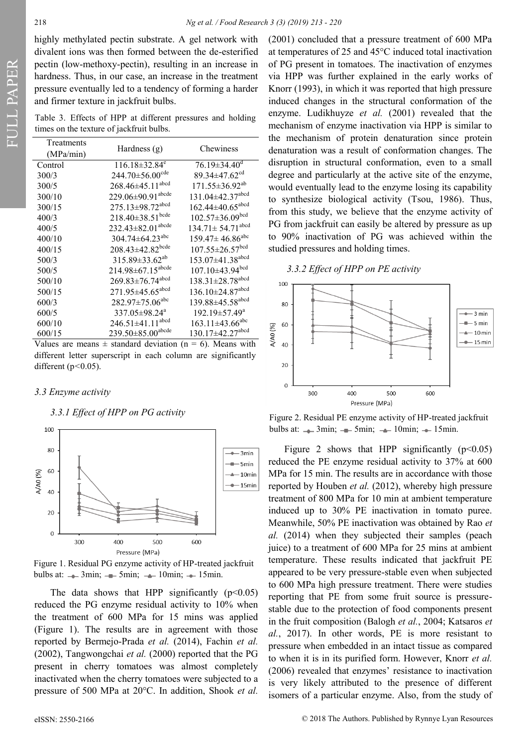highly methylated pectin substrate. A gel network with divalent ions was then formed between the de-esterified pectin (low-methoxy-pectin), resulting in an increase in hardness. Thus, in our case, an increase in the treatment pressure eventually led to a tendency of forming a harder and firmer texture in jackfruit bulbs.

Table 3. Effects of HPP at different pressures and holding times on the texture of jackfruit bulbs.

| Treatments<br>(MPa/min) | Hardness $(g)$                      | Chewiness                          |  |  |
|-------------------------|-------------------------------------|------------------------------------|--|--|
| Control                 | $116.18 \pm 32.84$ <sup>e</sup>     | $76.19 \pm 34.40$ <sup>d</sup>     |  |  |
| 300/3                   | 244.70 $\pm$ 56.00 <sup>cde</sup>   | 89.34±47.62 <sup>cd</sup>          |  |  |
| 300/5                   | 268.46±45.11 <sup>abcd</sup>        | $171.55 \pm 36.92^{ab}$            |  |  |
| 300/10                  | 229.06±90.91 <sup>abcde</sup>       | 131.04±42.37 <sup>abcd</sup>       |  |  |
| 300/15                  | 275.13±98.72 <sup>abcd</sup>        | $162.44 \pm 40.65$ <sup>abcd</sup> |  |  |
| 400/3                   | $218.40\pm38.51^{bcde}$             | $102.57 \pm 36.09^{bcd}$           |  |  |
| 400/5                   | $232.43 \pm 82.01$ <sup>abcde</sup> | $134.71 \pm 54.71$ <sup>abcd</sup> |  |  |
| 400/10                  | 304.74 $\pm$ 64.23 <sup>abc</sup>   | $159.47 \pm 46.86$ <sup>abc</sup>  |  |  |
| 400/15                  | 208.43±42.82bcde                    | $107.55 \pm 26.57$ <sup>bcd</sup>  |  |  |
| 500/3                   | 315.89±33.62 <sup>ab</sup>          | 153.07±41.38 <sup>abcd</sup>       |  |  |
| 500/5                   | $214.98 \pm 67.15$ <sup>abcde</sup> | $107.10\pm43.94^{bcd}$             |  |  |
| 500/10                  | $269.83 \pm 76.74$ <sup>abcd</sup>  | 138.31±28.78 <sup>abcd</sup>       |  |  |
| 500/15                  | 271.95±45.65 <sup>abcd</sup>        | 136.10±24.87 <sup>abcd</sup>       |  |  |
| 600/3                   | 282.97±75.06 <sup>abc</sup>         | 139.88±45.58 <sup>abcd</sup>       |  |  |
| 600/5                   | 337.05±98.24 <sup>a</sup>           | 192.19±57.49 <sup>a</sup>          |  |  |
| 600/10                  | $246.51 \pm 41.11$ <sup>abcd</sup>  | $163.11 \pm 43.66$ <sup>abc</sup>  |  |  |
| 600/15                  | $239.50\pm85.00^{abcde}$            | 130.17±42.27 <sup>abcd</sup>       |  |  |

Values are means  $\pm$  standard deviation (n = 6). Means with different letter superscript in each column are significantly different (p*<*0.05).

#### *3.3 Enzyme activity*

#### *3.3.1 Effect of HPP on PG activity*



Figure 1. Residual PG enzyme activity of HP-treated jackfruit bulbs at:  $\rightarrow$  3min;  $\rightarrow$  5min;  $\rightarrow$  10min;  $\rightarrow$  15min.

The data shows that HPP significantly  $(p<0.05)$ reduced the PG enzyme residual activity to 10% when the treatment of 600 MPa for 15 mins was applied (Figure 1). The results are in agreement with those reported by [Bermejo](file:///C:/Users/Vivian/Downloads/FR-2018-208.docx#_ENREF_6#_ENREF_6)-Prada *et al.* (2014), [Fachin](file:///C:/Users/Vivian/Downloads/FR-2018-208.docx#_ENREF_13#_ENREF_13) *et al.* [\(2002\),](file:///C:/Users/Vivian/Downloads/FR-2018-208.docx#_ENREF_13#_ENREF_13) [Tangwongchai](file:///C:/Users/Vivian/Downloads/FR-2018-208.docx#_ENREF_45#_ENREF_45) *et al.* (2000) reported that the PG present in cherry tomatoes was almost completely inactivated when the cherry tomatoes were subjected to a pressure of 500 MPa at 20°C. In addition, [Shook](file:///C:/Users/Vivian/Downloads/FR-2018-208.docx#_ENREF_41#_ENREF_41) *et al.* [\(2001\)](file:///C:/Users/Vivian/Downloads/FR-2018-208.docx#_ENREF_41#_ENREF_41) concluded that a pressure treatment of 600 MPa at temperatures of 25 and 45°C induced total inactivation of PG present in tomatoes. The inactivation of enzymes via HPP was further explained in the early works of [Knorr \(1993\),](file:///C:/Users/Vivian/Downloads/FR-2018-208.docx#_ENREF_26#_ENREF_26) in which it was reported that high pressure induced changes in the structural conformation of the enzyme. [Ludikhuyze](file:///C:/Users/Vivian/Downloads/FR-2018-208.docx#_ENREF_33#_ENREF_33) *et al.* (2001) revealed that the mechanism of enzyme inactivation via HPP is similar to the mechanism of protein denaturation since protein denaturation was a result of conformation changes. The disruption in structural conformation, even to a small degree and particularly at the active site of the enzyme, would eventually lead to the enzyme losing its capability to synthesize biological activity ([Tsou, 1986\).](file:///C:/Users/Vivian/Downloads/FR-2018-208.docx#_ENREF_47#_ENREF_47) Thus, from this study, we believe that the enzyme activity of PG from jackfruit can easily be altered by pressure as up to 90% inactivation of PG was achieved within the studied pressures and holding times.

#### *3.3.2 Effect of HPP on PE activity*



Figure 2. Residual PE enzyme activity of HP-treated jackfruit bulbs at:  $\rightarrow$  3min;  $\rightarrow$  5min;  $\rightarrow$  10min;  $\rightarrow$  15min.

Figure 2 shows that HPP significantly  $(p<0.05)$ reduced the PE enzyme residual activity to 37% at 600 MPa for 15 min. The results are in accordance with those reported by [Houben](file:///C:/Users/Vivian/Downloads/FR-2018-208.docx#_ENREF_21#_ENREF_21) *et al.* (2012), whereby high pressure treatment of 800 MPa for 10 min at ambient temperature induced up to 30% PE inactivation in tomato puree. Meanwhile, 50% PE inactivation was obtained by [Rao](file:///C:/Users/Vivian/Downloads/FR-2018-208.docx#_ENREF_38#_ENREF_38) *et al.* [\(2014\) w](file:///C:/Users/Vivian/Downloads/FR-2018-208.docx#_ENREF_38#_ENREF_38)hen they subjected their samples (peach juice) to a treatment of 600 MPa for 25 mins at ambient temperature. These results indicated that jackfruit PE appeared to be very pressure-stable even when subjected to 600 MPa high pressure treatment. There were studies reporting that PE from some fruit source is pressurestable due to the protection of food components present in the fruit composition [\(Balogh](file:///C:/Users/Vivian/Downloads/FR-2018-208.docx#_ENREF_4#_ENREF_4) *et al.*, 2004; [Katsaros](file:///C:/Users/Vivian/Downloads/FR-2018-208.docx#_ENREF_24#_ENREF_24) *et al.*[, 2017\)](file:///C:/Users/Vivian/Downloads/FR-2018-208.docx#_ENREF_24#_ENREF_24). In other words, PE is more resistant to pressure when embedded in an intact tissue as compared to when it is in its purified form. However, [Knorr](file:///C:/Users/Vivian/Downloads/FR-2018-208.docx#_ENREF_27#_ENREF_27) *et al.* [\(2006\) r](file:///C:/Users/Vivian/Downloads/FR-2018-208.docx#_ENREF_27#_ENREF_27)evealed that enzymes' resistance to inactivation is very likely attributed to the presence of different isomers of a particular enzyme. Also, from the study of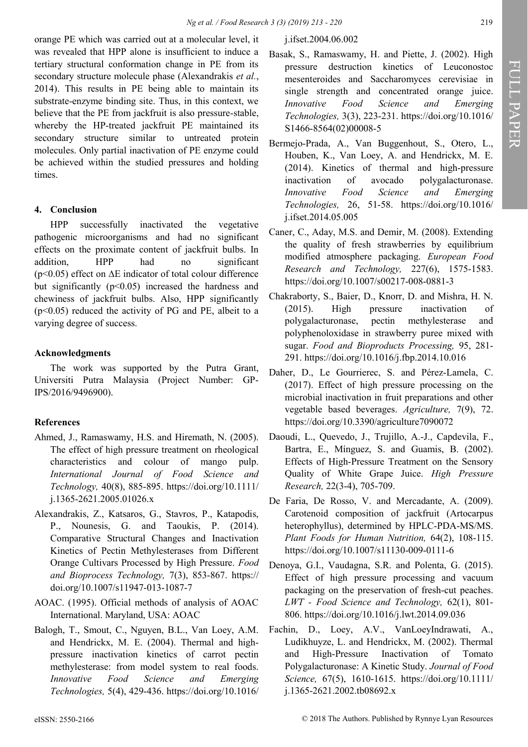orange PE which was carried out at a molecular level, it was revealed that HPP alone is insufficient to induce a tertiary structural conformation change in PE from its secondary structure molecule phase [\(Alexandrakis](file:///C:/Users/Vivian/Downloads/FR-2018-208.docx#_ENREF_2#_ENREF_2) *et al.*, [2014\).](file:///C:/Users/Vivian/Downloads/FR-2018-208.docx#_ENREF_2#_ENREF_2) This results in PE being able to maintain its substrate-enzyme binding site. Thus, in this context, we believe that the PE from jackfruit is also pressure-stable, whereby the HP-treated jackfruit PE maintained its secondary structure similar to untreated protein molecules. Only partial inactivation of PE enzyme could be achieved within the studied pressures and holding times.

## **4. Conclusion**

HPP successfully inactivated the vegetative pathogenic microorganisms and had no significant effects on the proximate content of jackfruit bulbs. In addition, HPP had no significant (p<0.05) effect on ∆E indicator of total colour difference but significantly  $(p<0.05)$  increased the hardness and chewiness of jackfruit bulbs. Also, HPP significantly  $(p<0.05)$  reduced the activity of PG and PE, albeit to a varying degree of success.

## **Acknowledgments**

The work was supported by the Putra Grant, Universiti Putra Malaysia (Project Number: GP-IPS/2016/9496900).

## **References**

- Ahmed, J., Ramaswamy, H.S. and Hiremath, N. (2005). The effect of high pressure treatment on rheological characteristics and colour of mango pulp. *International Journal of Food Science and Technology,* 40(8), 885-895. [https://doi.org/10.1111/](https://doi.org/10.1111/j.1365-2621.2005.01026.x) j.1365-[2621.2005.01026.x](https://doi.org/10.1111/j.1365-2621.2005.01026.x)
- Alexandrakis, Z., Katsaros, G., Stavros, P., Katapodis, P., Nounesis, G. and Taoukis, P. (2014). Comparative Structural Changes and Inactivation Kinetics of Pectin Methylesterases from Different Orange Cultivars Processed by High Pressure. *Food and Bioprocess Technology,* 7(3), 853-867. https:// [doi.org/10.1007/s11947](https://doi.org/10.1007/s11947-013-1087-7)-013-1087-7
- AOAC. (1995). Official methods of analysis of AOAC International. Maryland, USA: AOAC
- Balogh, T., Smout, C., Nguyen, B.L., Van Loey, A.M. and Hendrickx, M. E. (2004). Thermal and highpressure inactivation kinetics of carrot pectin methylesterase: from model system to real foods. *Innovative Food Science and Emerging Technologies,* 5(4), 429-436. [https://doi.org/10.1016/](https://doi.org/10.1016/j.ifset.2004.06.002)

## [j.ifset.2004.06.002](https://doi.org/10.1016/j.ifset.2004.06.002)

- Basak, S., Ramaswamy, H. and Piette, J. (2002). High pressure destruction kinetics of Leuconostoc mesenteroides and Saccharomyces cerevisiae in single strength and concentrated orange juice. *Innovative Food Science and Emerging Technologies,* 3(3), 223-231. [https://doi.org/10.1016/](https://doi.org/10.1016/S1466-8564(02)00008-5) S1466-[8564\(02\)00008](https://doi.org/10.1016/S1466-8564(02)00008-5)-5
- Bermejo-Prada, A., Van Buggenhout, S., Otero, L., Houben, K., Van Loey, A. and Hendrickx, M. E. (2014). Kinetics of thermal and high-pressure inactivation of avocado polygalacturonase. *Innovative Food Science and Emerging Technologies,* 26, 51-58. [https://doi.org/10.1016/](https://doi.org/10.1016/j.ifset.2014.05.005) [j.ifset.2014.05.005](https://doi.org/10.1016/j.ifset.2014.05.005)
- Caner, C., Aday, M.S. and Demir, M. (2008). Extending the quality of fresh strawberries by equilibrium modified atmosphere packaging. *European Food Research and Technology,* 227(6), 1575-1583. [https://doi.org/10.1007/s00217](https://doi.org/10.1007/s00217-008-0881-3)-008-0881-3
- Chakraborty, S., Baier, D., Knorr, D. and Mishra, H. N. (2015). High pressure inactivation of polygalacturonase, pectin methylesterase and polyphenoloxidase in strawberry puree mixed with sugar. *Food and Bioproducts Processing,* 95, 281- 291.<https://doi.org/10.1016/j.fbp.2014.10.016>
- Daher, D., Le Gourrierec, S. and Pérez-Lamela, C. (2017). Effect of high pressure processing on the microbial inactivation in fruit preparations and other vegetable based beverages. *Agriculture,* 7(9), 72. <https://doi.org/10.3390/agriculture7090072>
- Daoudi, L., Quevedo, J., Trujillo, A.-J., Capdevila, F., Bartra, E., Mínguez, S. and Guamis, B. (2002). Effects of High-Pressure Treatment on the Sensory Quality of White Grape Juice. *High Pressure Research,* 22(3-4), 705-709.
- De Faria, De Rosso, V. and Mercadante, A. (2009). Carotenoid composition of jackfruit (Artocarpus heterophyllus), determined by HPLC-PDA-MS/MS. *Plant Foods for Human Nutrition,* 64(2), 108-115. [https://doi.org/10.1007/s11130](https://doi.org/10.1007/s11130-009-0111-6)-009-0111-6
- Denoya, G.I., Vaudagna, S.R. and Polenta, G. (2015). Effect of high pressure processing and vacuum packaging on the preservation of fresh-cut peaches. *LWT - Food Science and Technology,* 62(1), 801- 806.<https://doi.org/10.1016/j.lwt.2014.09.036>
- Fachin, D., Loey, A.V., VanLoeyIndrawati, A., Ludikhuyze, L. and Hendrickx, M. (2002). Thermal and High‐Pressure Inactivation of Tomato Polygalacturonase: A Kinetic Study. *Journal of Food Science,* 67(5), 1610-1615. [https://doi.org/10.1111/](https://doi.org/10.1111/j.1365-2621.2002.tb08692.x) j.1365-[2621.2002.tb08692.x](https://doi.org/10.1111/j.1365-2621.2002.tb08692.x)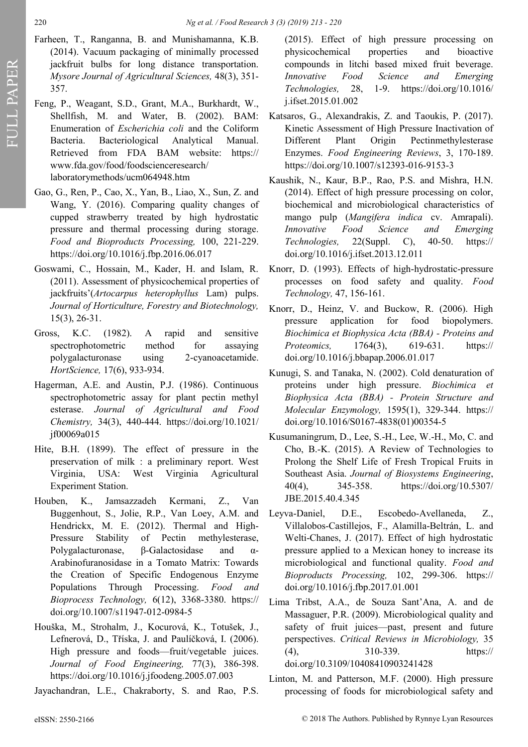- Farheen, T., Ranganna, B. and Munishamanna, K.B. (2014). Vacuum packaging of minimally processed jackfruit bulbs for long distance transportation. *Mysore Journal of Agricultural Sciences,* 48(3), 351- 357.
- Feng, P., Weagant, S.D., Grant, M.A., Burkhardt, W., Shellfish, M. and Water, B. (2002). BAM: Enumeration of *Escherichia coli* and the Coliform Bacteria. Bacteriological Analytical Manual. Retrieved from FDA BAM website: https:// www.fda.gov/food/foodscienceresearch/ laboratorymethods/ucm064948.htm
- Gao, G., Ren, P., Cao, X., Yan, B., Liao, X., Sun, Z. and Wang, Y. (2016). Comparing quality changes of cupped strawberry treated by high hydrostatic pressure and thermal processing during storage. *Food and Bioproducts Processing,* 100, 221-229. <https://doi.org/10.1016/j.fbp.2016.06.017>
- Goswami, C., Hossain, M., Kader, H. and Islam, R. (2011). Assessment of physicochemical properties of jackfruits'(*Artocarpus heterophyllus* Lam) pulps. *Journal of Horticulture, Forestry and Biotechnology,*  15(3), 26-31.
- Gross, K.C. (1982). A rapid and sensitive spectrophotometric method for assaying polygalacturonase using 2-cyanoacetamide. *HortScience,* 17(6), 933-934.
- Hagerman, A.E. and Austin, P.J. (1986). Continuous spectrophotometric assay for plant pectin methyl esterase. *Journal of Agricultural and Food Chemistry,* 34(3), 440-444. [https://doi.org/10.1021/](https://doi.org/10.1021/jf00069a015) [jf00069a015](https://doi.org/10.1021/jf00069a015)
- Hite, B.H. (1899). The effect of pressure in the preservation of milk : a preliminary report. West Virginia, USA: West Virginia Agricultural Experiment Station.
- Houben, K., Jamsazzadeh Kermani, Z., Van Buggenhout, S., Jolie, R.P., Van Loey, A.M. and Hendrickx, M. E. (2012). Thermal and High-Pressure Stability of Pectin methylesterase, Polygalacturonase, β-Galactosidase and α-Arabinofuranosidase in a Tomato Matrix: Towards the Creation of Specific Endogenous Enzyme Populations Through Processing. *Food and Bioprocess Technology,* 6(12), 3368-3380. https:// [doi.org/10.1007/s11947](https://doi.org/10.1007/s11947-012-0984-5)-012-0984-5
- Houška, M., Strohalm, J., Kocurová, K., Totušek, J., Lefnerová, D., Tříska, J. and Paulíčková, I. (2006). High pressure and foods—fruit/vegetable juices. *Journal of Food Engineering,* 77(3), 386-398. <https://doi.org/10.1016/j.jfoodeng.2005.07.003>

Jayachandran, L.E., Chakraborty, S. and Rao, P.S.

(2015). Effect of high pressure processing on physicochemical properties and bioactive compounds in litchi based mixed fruit beverage. *Innovative Food Science and Emerging Technologies,* 28, 1-9. [https://doi.org/10.1016/](https://doi.org/10.1016/j.ifset.2015.01.002) [j.ifset.2015.01.002](https://doi.org/10.1016/j.ifset.2015.01.002)

- Katsaros, G., Alexandrakis, Z. and Taoukis, P. (2017). Kinetic Assessment of High Pressure Inactivation of Different Plant Origin Pectinmethylesterase Enzymes. *Food Engineering Reviews*, 3, 170-189. [https://doi.org/10.1007/s12393](https://doi.org/10.1007/s12393-016-9153-3)-016-9153-3
- Kaushik, N., Kaur, B.P., Rao, P.S. and Mishra, H.N. (2014). Effect of high pressure processing on color, biochemical and microbiological characteristics of mango pulp (*Mangifera indica* cv. Amrapali). *Innovative Food Science and Emerging Technologies,* 22(Suppl. C), 40-50. https:// [doi.org/10.1016/j.ifset.2013.12.011](https://doi.org/10.1016/j.ifset.2013.12.011)
- Knorr, D. (1993). Effects of high-hydrostatic-pressure processes on food safety and quality. *Food Technology,* 47, 156-161.
- Knorr, D., Heinz, V. and Buckow, R. (2006). High pressure application for food biopolymers. *Biochimica et Biophysica Acta (BBA) - Proteins and Proteomics,* 1764(3), 619-631. https:// [doi.org/10.1016/j.bbapap.2006.01.017](https://doi.org/10.1016/j.bbapap.2006.01.017)
- Kunugi, S. and Tanaka, N. (2002). Cold denaturation of proteins under high pressure. *Biochimica et Biophysica Acta (BBA) - Protein Structure and Molecular Enzymology,* 1595(1), 329-344. https:// [doi.org/10.1016/S0167](https://doi.org/10.1016/S0167-4838(01)00354-5)-4838(01)00354-5
- Kusumaningrum, D., Lee, S.-H., Lee, W.-H., Mo, C. and Cho, B.-K. (2015). A Review of Technologies to Prolong the Shelf Life of Fresh Tropical Fruits in Southeast Asia. *Journal of Biosystems Engineering*, 40(4), 345-358. [https://doi.org/10.5307/](https://doi.org/10.5307/JBE.2015.40.4.345) [JBE.2015.40.4.345](https://doi.org/10.5307/JBE.2015.40.4.345)
- Leyva-Daniel, D.E., Escobedo-Avellaneda, Z., Villalobos-Castillejos, F., Alamilla-Beltrán, L. and Welti-Chanes, J. (2017). Effect of high hydrostatic pressure applied to a Mexican honey to increase its microbiological and functional quality. *Food and Bioproducts Processing,* 102, 299-306. https:// [doi.org/10.1016/j.fbp.2017.01.001](https://doi.org/10.1016/j.fbp.2017.01.001)
- Lima Tribst, A.A., de Souza Sant'Ana, A. and de Massaguer, P.R. (2009). Microbiological quality and safety of fruit juices—past, present and future perspectives. *Critical Reviews in Microbiology,* 35 (4), 310-339. https:// [doi.org/10.3109/10408410903241428](https://doi.org/10.3109/10408410903241428)
- Linton, M. and Patterson, M.F. (2000). High pressure processing of foods for microbiological safety and